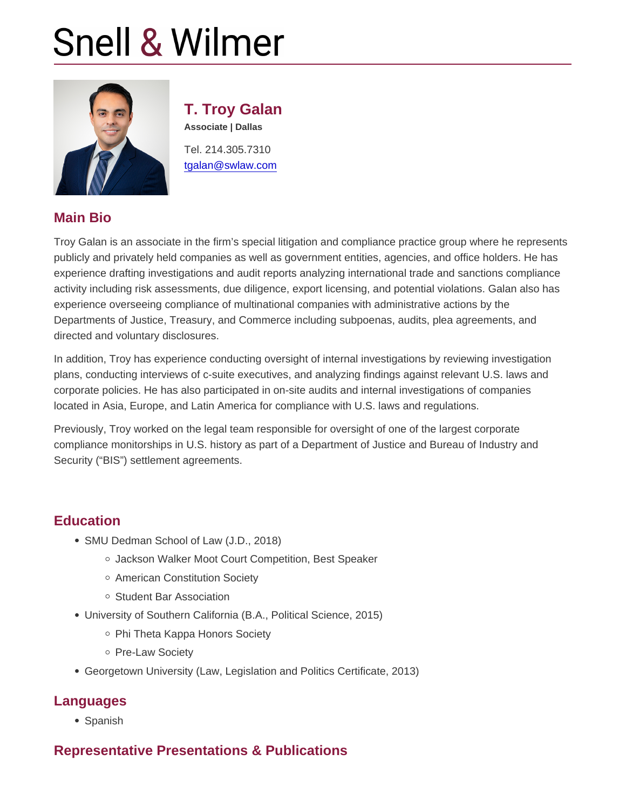# T. Troy Galan

Associate | Dallas

Tel. 214.305.7310 [tgalan@swlaw.com](mailto:tgalan@swlaw.com)

#### Main Bio

Troy Galan is an associate in the firm's special litigation and compliance practice group where he represents publicly and privately held companies as well as government entities, agencies, and office holders. He has experience drafting investigations and audit reports analyzing international trade and sanctions compliance activity including risk assessments, due diligence, export licensing, and potential violations. Galan also has experience overseeing compliance of multinational companies with administrative actions by the Departments of Justice, Treasury, and Commerce including subpoenas, audits, plea agreements, and directed and voluntary disclosures.

In addition, Troy has experience conducting oversight of internal investigations by reviewing investigation plans, conducting interviews of c-suite executives, and analyzing findings against relevant U.S. laws and corporate policies. He has also participated in on-site audits and internal investigations of companies located in Asia, Europe, and Latin America for compliance with U.S. laws and regulations.

Previously, Troy worked on the legal team responsible for oversight of one of the largest corporate compliance monitorships in U.S. history as part of a Department of Justice and Bureau of Industry and Security ("BIS") settlement agreements.

## **Education**

- SMU Dedman School of Law (J.D., 2018)
	- Jackson Walker Moot Court Competition, Best Speaker
	- American Constitution Society
	- Student Bar Association
- University of Southern California (B.A., Political Science, 2015)
	- o Phi Theta Kappa Honors Society
	- o Pre-Law Society
- Georgetown University (Law, Legislation and Politics Certificate, 2013)

## Languages

• Spanish

## Representative Presentations & Publications